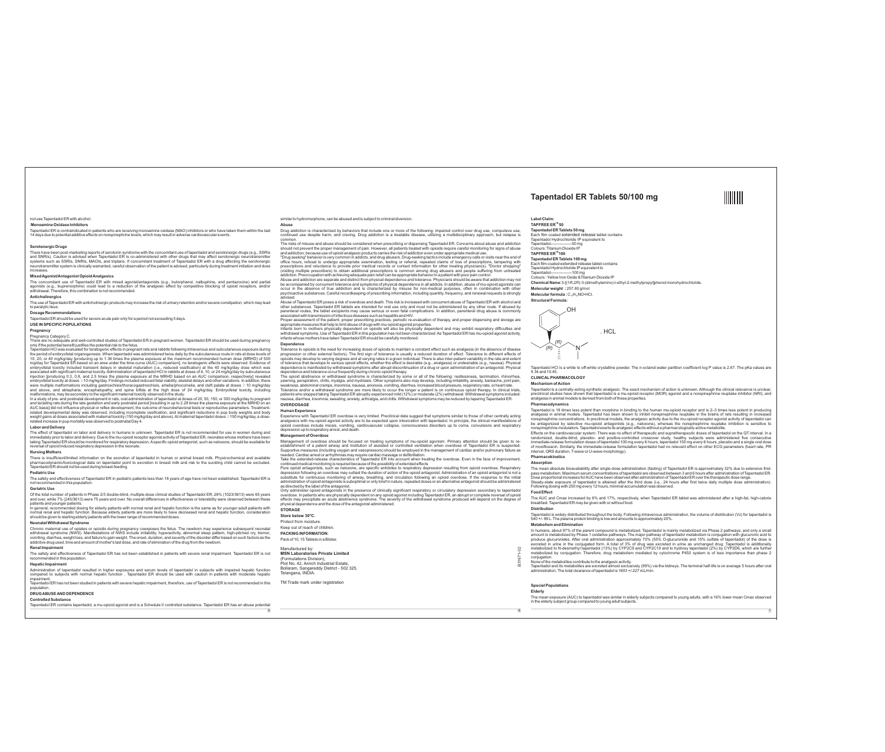## **Tapentadol ER Tablets 50/100 mg**

# ║║║

**Tapentadol ER Tablets 50 mg** Each film coated extended release tablet contains Tapentadol Hydrochloride IP equivalent to Tapentadol----------------50 mg Colours: Titanium Dioxide IP **TM TAPFREE ER 100 Tapentadol ER Tablets 100 mg** Each film coated extended release tablet contains Tapentadol Hydrochloride IPequivalent to Tapentadol----------------100 mg Colours : Yellow Iron Oxide &Titanium Dioxide IP **Chemical Name**:3-[(1*R*,2*R*)-3-(dimethylamino)-l-ethyl-2-methylpropyl]phenol monohydrochloride. **Molecular weight :** 257.80 g/mol **Molecular formula : C<sub>14</sub>H<sub>23</sub>NO•HCl. Structural Formula:**  Tapentadol HCl is a white to off-white crystalline powder. The n-octanol:water partition coefficient log P value is 2.87. The pKa values are 9.34 and 10.45. **CLINICALPHARMACOLOGY Mechanism of Action** Tapentadol is a centrally-acting synthetic analgesic. The exact mechanism of action is unknown. Although the clinical relevance is unclear, preclinical studies have shown that tapentadol is a mu-opioid receptor (MOR) agonist and a norepinephrine reuptake inhibitor (NRI), and analgesia in animal models is derived from both of these properties. **Pharmacodynamics** Tapentadol is 18 times less potent than morphine in binding to the human mu-opioid receptor and is 2–3 times less potent in producing analgesia in animal models. Tapentadol has been shown to inhibit norepinephrine reuptake in the brains of rats resulting in increased norepinephrine concentrations. In preclinical models, the analgesic activity due to the mu-opioid receptor agonist activity of tapentadol can be antagonized by selective mu-opioid antagonists (e.g., naloxone), whereas the norepinephrine reuptake inhibition is sensitive to<br>norepinephrine modulators. Tapentadol exerts its analgesic effects without a pharmacologica . HCL OH N *(R) (R)* should not prevent the proper management of pain. However, all patients treated with opioids require careful monitoring for signs of abuse<br>and addiction, because use of opioid analgesic products carries the risk of addicti "Drug seeking" behavior is very common in addicts, and drug abusers. Drug-seeking tactics include emergency calls or visits near the end of<br>office hours, refusal to undergo appropriate examination, testing or refe prescriptions and reluctance to provide prior medical records or contact information for other treating physician(s). "Doctor shopping"<br>(visiting multiple prescribers) to obtain additional prescriptions is common among dru addiction. Preoccupation with achieving adequate pain relief can be appropriate behavior in a patient with poor pain control.<br>Abuse and addiction are separate and distinct from physical dependence and tolerance. Physicians associated with transmission of infectious diseases such as hepatitis and HIV. Proper assessment of the patient, proper prescribing practices, periodic re-evaluation of therapy, and proper dispensing and storage are appropriate measures that help to limit abuse of drugs with mu-opioid agonist properties. Infants born to mothers physically dependent on opioids will also be physically dependent and may exhibit respiratory difficulties and withdrawal symptoms. Use of Tapentadol ER in this population has not been characterized. As Tapentadol ER has mu-opioid agonist activity,<br>infants whose mothers have taken Tapentadol ER should be carefully monitored. opioids may develop to varying degrees and at varying rates in a given individual. There is also inter-patient variability in the rate and extent<br>of tolerance that develops to various opioid effects, whether the effect is Tolerance and/or a withdrawal syndrome are more likely to occur the longer a patient is on continuous opioid therapy. In clinical trials,<br>patients who stopped taking Tapentadol ER abruptly experienced mild (12%) or moderat

**Label Claim: TM TAPFREE ER 50**

Effects on the cardiovascular system: There was no effect of therapeutic and supratherapeutic doses of tapentadol on the QT interval. In a randomized, double-blind, placebo- and positive-controlled crossover study, healthy subjects were administered five consecutive<br>immediate-release formulation doses of tapentadol 100 mg every 6 hours, tapentadol 150 mg ever of moxifloxacin. Similarly, the immediate-release formulation tapentadol had no relevant effect on other ECG parameters (heart rate, PR<br>interval, QRS duration, T-wave or U-wave morphology). **Pharmacokinetics**

conjugation. None of the metabolites contribute to the analgesic activity.

## **Absorption**

The mean absolute bioavailability after single-dose administration (fasting) of Tapentadol ER is approximately 32% due to extensive firstpass metabolism. Maximum serum concentrations of tapentadol are observed between 3 and 6 hours after administration of Tapentadol ER.<br>Dose proportional increases for AUC have been observed after administration of Tapentado Steady-state exposure of tapentadol is attained after the third dose (i.e., 24 hours after first twice daily multiple dose administration). Following dosing with 250 mg every 12 hours, minimal accumulation was observed.

and SNRIs). Caution is advised when Tapentadol ER is co-administered with other drugs that may affect serotonergic neurotransmitter<br>systems such as SSRIs, SNRIs, MAOIs, and triptans. If concomitant treatment of Tapentadol neurotransmitter system is clinically warranted, careful observation of the patient is advised, particularly during treatment initiation and dose

**Food Effect**

The AUC and Cmax increased by 6% and 17%, respectively, when Tapentadol ER tablet was administered after a high-fat, high-calorie breakfast. Tapentadol ER may be given with or without food. **Distribution**

## Tapentadol HCl was evaluated for teratogenic effects in pregnant rats and rabbits following intravenous and subcutaneous exposure during the period of embryofetal organogenesis. When tapentadol was administered twice daily by the subcutaneous route in rats at dose levels of<br>10, 20, or 40 mg/kg/day [producing up to 1.36 times the plasma exposure at the maxim

Tapentadol is widely distributed throughout the body. Following intravenous administration, the volume of distribution (Vz) for tapentadol is 540 +/- 98 L. The plasma protein binding is low and amounts to approximately 20%.

**Metabolism and Elimination** In humans, about 97% of the parent compound is metabolized. Tapentadol is mainly metabolized via Phase 2 pathways, and only a small amount is metabolized by Phase 1 oxidative pathways. The major pathway of tapentadol metabolism is conjugation with glucuronic acid to<br>produce glucuronides. After oral administration approximately 70% (55% O-glucuronide an excreted in urine in the conjugated form. A total of 3% of drug was excreted in urine as unchanged drug. Tapentadol is additionally<br>metabolized to N-desmethyl tapentadol (13%) by CYP2C9 and CYP2C19 and to hydroxy tapentado metabolized by conjugation. Therefore, drug metabolism mediated by cytochrome P450 system is of less importance than phase 2

Tapentadol and its metabolites are excreted almost exclusively (99%) via the kidneys. The terminal half-life is on average 5 hours after oral administration. The total clearance of tapentadol is 1603 +/-227 mL/min.

## **Special Populations**

**Elderly**  The mean exposure (AUC) to tapentadol was similar in elderly subjects compared to young adults, with a 16% lower mean Cmax observed in the elderly subject group compared to young adult subjects.

 $\frac{6}{1}$ 

not use Tapentadol ER with alcohol . **Monoamine Oxidase Inhibitors** 

Tapentadol ER is contraindicated in patients who are receiving monoamine oxidase (MAO) inhibitors or who have taken them within the last

14 days due to potential additive effects on norepinephrine levels, which may result in adverse cardiovascular events .

**Serotonergic Drugs**

increases

There have been post-marketing reports of serotonin syndrome with the concomitant use of tapentadol and serotonergic drugs (e.g., SSRIs

The concomitant use of Tapentadol ER with mixed agonist/antagonists (e.g., butorphanol, nalbuphine, and pentazocine) and partial<br>agonists (e.g., buprenorphine) could lead to a reduction of the analgesic effect by competiti

ronic maternal use of opiates or opioids during pregnancy coexposes the fetus. The newborn may experience subsequent neonatal withdrawal syndrome (NWS). Manifestations of NWS include irritability, hyperactivity, abnormal sleep pattern, high-pitched cry, tremor, vomiting, diarrhea, weight loss, and failure to gain weight. The onset, duration, and severity of the disorder differ based on such factors as the

**Mixed Agonist/Antagonist Opioid Analgesics**

withdrawal. Therefore, this combination is not recommended.

**Anticholinergics**

The use of Tapentadol ER with anticholinergic products may increase the risk of urinary retention and/or severe constipation, which may lead

to paralytic ileus.

**Dosage Recommendations**

Tapentadol ER should be used for severe acute pain only for a period not exceeding 5 days.

**USE IN SPECIFIC POPULATIONS**

**Pregnancy** Pregnancy Category C.

# There are no adequate and well-controlled studies of Tapentadol ER in pregnant women. Tapentadol ER should be used during pregnancy only if the potential benefit justifies the potential risk to the fetus.

embryofetal toxicity at doses ≥10 mg/kg/day. Findings included reduced fetal viability, skeletal delays and other variations. In addition, there were multiple malformations including gastroschisis/thoracogastroschisis, amelia/phocomelia, and cleft palate at doses ≥ 10 mg/kg/day

## and above, and ablepharia, encephalopathy, and spina bifida at the high dose of 24 mg/kg/day. Embryofetal toxicity, including<br>malformations,may be secondary to the significant maternal toxicity observed in the study. In a study of pre- and postnatal development in rats, oral administration of tapentadol at doses of 20, 50, 150, or 300 mg/kg/day to pregnant<br>and lactating rats during the late gestation and early postnatal period [resulti AUC basis] did not influence physical or reflex development, the outcome of neurobehavioral tests or reproductive parameters. Treatment-<br>related developmental delay was observed, including incomplete ossification, and sign

# weight gains at doses associated with maternal toxicity (150 mg/kg/day and above). At maternal tapentadol doses ≥150 mg/kg/day, a dose-

Management of overdose should be focused on treating symptoms of mu-opioid agonism. Primary attention should be given to re-<br>establishment of a patent airway and institution of assisted or controlled ventilation when overd Supportive measures (including oxygen and vasopressors) should be employed in the management of cardiac and/or pulmonary failure as

related increase in pup mortality was observed to postnatal Day 4.

**Labor and Delivery**

The effect of tapentadol on labor and delivery in humans is unknown. Tapentadol ER is not recommended for use in women during and immediately prior to labor and delivery. Due to the mu-opioid receptor agonist activity of Tapentadol ER, neonates whose mothers have been taking Tapentadol ER should be monitored for respiratory depression. Aspecific opioid antagonist, such as naloxone, should be available for

reversal of opioid induced respiratory depression in the neonate.

**Nursing Mothers**

Only administer opioid antagonists in the presence of clinically significant respiratory or circulatory depression secondary to tapentadol<br>overdose. In patients who are physically dependent on any opioid agonist including effects may precipitate an acute abstinence syndrome. The severity of the withdrawal syndrome produced will depend on the degree of

There is insufficient/limited information on the excretion of tapentadol in human or animal breast milk. Physicochemical and available pharmacodynamic/toxicological data on tapentadol point to excretion in breast milk and risk to the suckling child cannot be excluded.

Tapentadol ER should not be used during breast-feeding.

**Pediatric Use**

The safety and effectiveness of Tapentadol ER in pediatric patients less than 18 years of age have not been established. Tapentadol ER is

not recommended in this population. **Geriatric Use** Of the total number of patients in Phase 2/3 double-blind, multiple-dose clinical studies of Tapentadol ER, 28% (1023/3613) were 65 years and over, while 7% (245/3613) were 75 years and over. No overall differences in effectiveness or tolerability were observed between these patients and younger patients. In general, recommended dosing for elderly patients with normal renal and hepatic function is the same as for younger adult patients with normal renal and hepatic function. Because elderly patients are more likely to have decreased renal and hepatic function, consideration should be given to starting elderly patients with the lower range of recommended doses .

**Neonatal Withdrawal Syndrome**

### addictive drug used, time and amount of mother's last dose, and rate of elimination of the drug from the newborn.

**Renal Impairment**

The safety and effectiveness of Tapentadol ER has not been established in patients with severe renal impairment. Tapentadol ER is not

recommended in this population. **Hepatic Impairment**

Administration of tapentadol resulted in higher exposures and serum levels of tapentadol in subjects with impaired hepatic function compared to subjects with normal hepatic function . Tapentadol ER should be used with caution in patients with moderate hepatic

impairment.

Tapentadol ER has not been studied in patients with severe hepatic impairment, therefore, use of Tapentadol ER is not recommended in this population .

**DRUG ABUSE AND DEPENDENCE**

**Controlled Substance**

Tapentadol ER contains tapentadol, a mu-opioid agonist and is a Schedule II controlled substance. Tapentadol ER has an abuse potential

similar to hydromorphone, can be abused and is subject to criminal diversion.

**Abuse**

mg/day for Tapentadol ER based on an area under the time-curve (AUC) comparison], no teratogenic effects were observed. Evidence of<br>embryofetal toxicity included transient delays in skeletal maturation (i.e., reduced ossif

common. occur in the absence of true addiction and is characterized by misuse for non-medical purposes, often in combination with other psychoactive substances. Careful recordkeeping of prescribing information, including quantity, frequency, and renewal requests is strongly Abuse of Tapentadol ER poses a risk of overdose and death. This risk is increased with concurrent abuse of Tapentadol ER with alcohol and other substances. Tapentadol ER tablets are intended for oral use only and must not be administered by any other route. If abused by parenteral routes, the tablet excipients may cause serious or even fatal complications. In addition, parenteral drug abuse is commonly **Dependence** Tolerance to opioids is the need for increasing doses of opioids to maintain a constant effect such as analgesia (in the absence of disease progression or other external factors). The first sign of tolerance is usually a reduced duration of effect. Tolerance to different effects of yawning, perspiration, chills, myalgia, and mydriasis. Other symptoms also may develop, including irritability, anxiety, backache, joint pain, **OVERDOSAGE Human Experience** Experience with Tapentadol ER overdose is very limited. Preclinical data suggest that symptoms similar to those of other centrally acting analgesics with mu-opioid agonist activity are to be expected upon intoxication with tapentadol. In principle, the clinical manifestations of

Drug addiction is characterized by behaviors that include one or more of the following: impaired control over drug use, compulsive use,

continued use despite harm, and craving. Drug addiction is a treatable disease, utilizing a multidisciplinary approach, but relapse is The risks of misuse and abuse should be considered when prescribing or dispensing Tapentadol ER. Concerns about abuse and addiction be accompanied by concurrent tolerance and symptoms of physical dependence in all addicts. In addition, abuse of mu-opioid agonists can advised. dependence is manifested by withdrawal symptoms after abrupt discontinuation of a drug or upon administration of an antagonist. Physical dependence and tolerance occur frequently during chronic opioid therapy. The opioid abstinence or withdrawal syndrome is characterized by some or all of the following: restlessness, lacrimation, rhinorrhea, weakness, abdominal cramps, insomnia, nausea, anorexia, vomiting, diarrhea, increased blood pressure, respiratory rate, or heart rate. nausea, diarrhea, insomnia, sweating, anxiety, arthralgia, and chills. Withdrawal symptoms may be reduced by tapering Tapentadol ER. opioid overdose include miosis, vomiting, cardiovascular collapse, consciousness disorders up to coma, convulsions and respiratory depression up to respiratory arrest, and death.

**Management of Overdose**

needed. Cardiac arrest or arrhythmias may require cardiac massage or defibrillation.

Take the extended-release characteristics of Tapentadol ER into account when treating the overdose. Even in the face of improvement,

continued medical monitoring is required because of the possibility of extended effects

Pure opioid antagonists, such as naloxone, are specific antidotes to respiratory depression resulting from opioid overdose. Respiratory depression following an overdose may outlast the duration of action of the opioid antagonist. Administration of an opioid antagonist is not a substitute for continuous monitoring of airway, breathing, and circulation following an opioid overdose. If the response to the initial administration of opioid antagonists is suboptimal or only brief in nature, repeated doses or an alternative antagonist should be administered

as directed by the label of the antagonist.

physical dependence and the dose of the antagonist administered.

associated with significant maternal toxicity. Administration of tapentadol HCI in rabbits at doses of 4, 10, or 24 mg/kg/day by subcutaneous<br>injection [producing 0.3, 0.8, and 2.5 times the plasma exposure at the MRHD bas

**STORAGE Store below 30°C.** Protect from moisture. Keep out of reach of children. **PACKING INFORMATION:** Pack of 10, 15 Tablets in a Blister.

B31671-02

Manufactured by:

**MSN Laboratories Private Limited** (Formulations Division), Plot No. 42, Anrich Industrial Estate, Bollaram, Sangareddy District - 502 325,

Telangana, INDIA.

TM Trade mark under registration